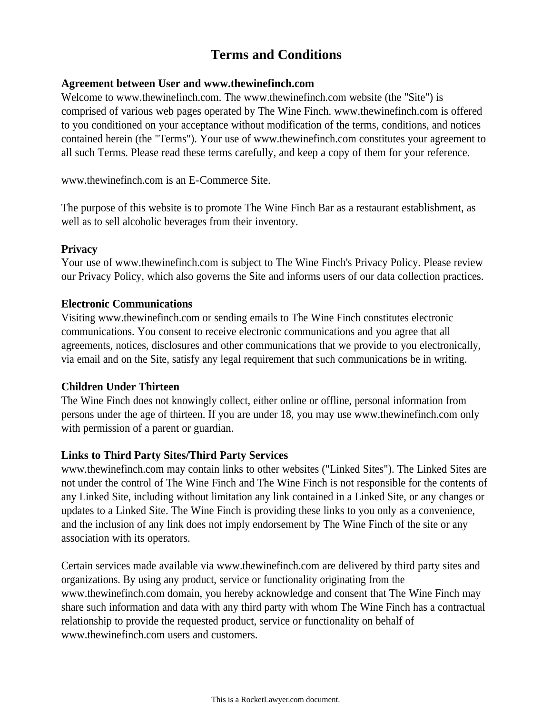# **Terms and Conditions**

### **Agreement between User and www.thewinefinch.com**

Welcome to www.thewinefinch.com. The www.thewinefinch.com website (the "Site") is comprised of various web pages operated by The Wine Finch. www.thewinefinch.com is offered to you conditioned on your acceptance without modification of the terms, conditions, and notices contained herein (the "Terms"). Your use of www.thewinefinch.com constitutes your agreement to all such Terms. Please read these terms carefully, and keep a copy of them for your reference.

www.thewinefinch.com is an E-Commerce Site.

The purpose of this website is to promote The Wine Finch Bar as a restaurant establishment, as well as to sell alcoholic beverages from their inventory.

### **Privacy**

Your use of www.thewinefinch.com is subject to The Wine Finch's Privacy Policy. Please review our Privacy Policy, which also governs the Site and informs users of our data collection practices.

### **Electronic Communications**

Visiting www.thewinefinch.com or sending emails to The Wine Finch constitutes electronic communications. You consent to receive electronic communications and you agree that all agreements, notices, disclosures and other communications that we provide to you electronically, via email and on the Site, satisfy any legal requirement that such communications be in writing.

### **Children Under Thirteen**

The Wine Finch does not knowingly collect, either online or offline, personal information from persons under the age of thirteen. If you are under 18, you may use www.thewinefinch.com only with permission of a parent or guardian.

# **Links to Third Party Sites/Third Party Services**

www.thewinefinch.com may contain links to other websites ("Linked Sites"). The Linked Sites are not under the control of The Wine Finch and The Wine Finch is not responsible for the contents of any Linked Site, including without limitation any link contained in a Linked Site, or any changes or updates to a Linked Site. The Wine Finch is providing these links to you only as a convenience, and the inclusion of any link does not imply endorsement by The Wine Finch of the site or any association with its operators.

Certain services made available via www.thewinefinch.com are delivered by third party sites and organizations. By using any product, service or functionality originating from the www.thewinefinch.com domain, you hereby acknowledge and consent that The Wine Finch may share such information and data with any third party with whom The Wine Finch has a contractual relationship to provide the requested product, service or functionality on behalf of www.thewinefinch.com users and customers.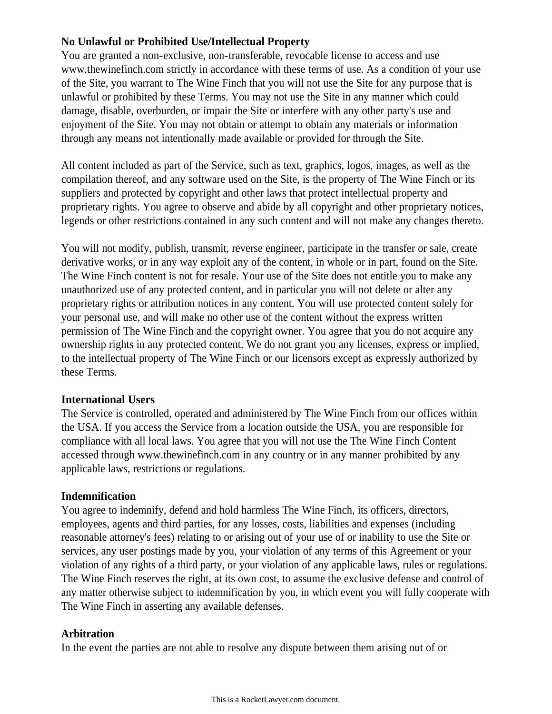# **No Unlawful or Prohibited Use/Intellectual Property**

You are granted a non-exclusive, non-transferable, revocable license to access and use www.thewinefinch.com strictly in accordance with these terms of use. As a condition of your use of the Site, you warrant to The Wine Finch that you will not use the Site for any purpose that is unlawful or prohibited by these Terms. You may not use the Site in any manner which could damage, disable, overburden, or impair the Site or interfere with any other party's use and enjoyment of the Site. You may not obtain or attempt to obtain any materials or information through any means not intentionally made available or provided for through the Site.

All content included as part of the Service, such as text, graphics, logos, images, as well as the compilation thereof, and any software used on the Site, is the property of The Wine Finch or its suppliers and protected by copyright and other laws that protect intellectual property and proprietary rights. You agree to observe and abide by all copyright and other proprietary notices, legends or other restrictions contained in any such content and will not make any changes thereto.

You will not modify, publish, transmit, reverse engineer, participate in the transfer or sale, create derivative works, or in any way exploit any of the content, in whole or in part, found on the Site. The Wine Finch content is not for resale. Your use of the Site does not entitle you to make any unauthorized use of any protected content, and in particular you will not delete or alter any proprietary rights or attribution notices in any content. You will use protected content solely for your personal use, and will make no other use of the content without the express written permission of The Wine Finch and the copyright owner. You agree that you do not acquire any ownership rights in any protected content. We do not grant you any licenses, express or implied, to the intellectual property of The Wine Finch or our licensors except as expressly authorized by these Terms.

### **International Users**

The Service is controlled, operated and administered by The Wine Finch from our offices within the USA. If you access the Service from a location outside the USA, you are responsible for compliance with all local laws. You agree that you will not use the The Wine Finch Content accessed through www.thewinefinch.com in any country or in any manner prohibited by any applicable laws, restrictions or regulations.

# **Indemnification**

You agree to indemnify, defend and hold harmless The Wine Finch, its officers, directors, employees, agents and third parties, for any losses, costs, liabilities and expenses (including reasonable attorney's fees) relating to or arising out of your use of or inability to use the Site or services, any user postings made by you, your violation of any terms of this Agreement or your violation of any rights of a third party, or your violation of any applicable laws, rules or regulations. The Wine Finch reserves the right, at its own cost, to assume the exclusive defense and control of any matter otherwise subject to indemnification by you, in which event you will fully cooperate with The Wine Finch in asserting any available defenses.

### **Arbitration**

In the event the parties are not able to resolve any dispute between them arising out of or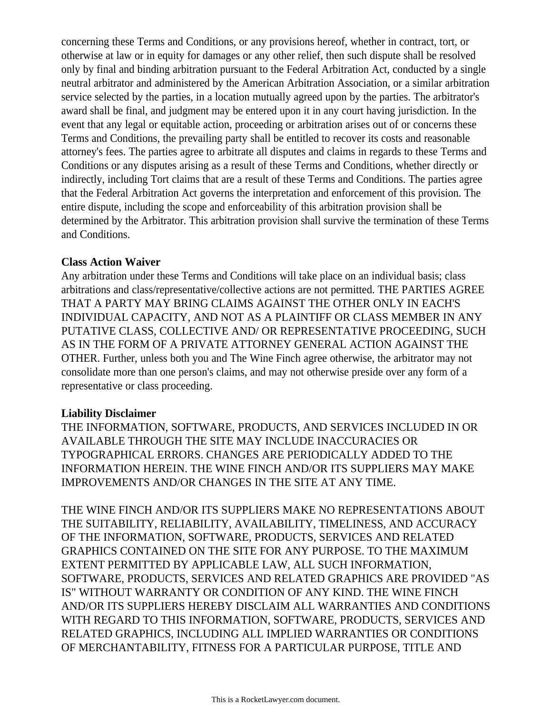concerning these Terms and Conditions, or any provisions hereof, whether in contract, tort, or otherwise at law or in equity for damages or any other relief, then such dispute shall be resolved only by final and binding arbitration pursuant to the Federal Arbitration Act, conducted by a single neutral arbitrator and administered by the American Arbitration Association, or a similar arbitration service selected by the parties, in a location mutually agreed upon by the parties. The arbitrator's award shall be final, and judgment may be entered upon it in any court having jurisdiction. In the event that any legal or equitable action, proceeding or arbitration arises out of or concerns these Terms and Conditions, the prevailing party shall be entitled to recover its costs and reasonable attorney's fees. The parties agree to arbitrate all disputes and claims in regards to these Terms and Conditions or any disputes arising as a result of these Terms and Conditions, whether directly or indirectly, including Tort claims that are a result of these Terms and Conditions. The parties agree that the Federal Arbitration Act governs the interpretation and enforcement of this provision. The entire dispute, including the scope and enforceability of this arbitration provision shall be determined by the Arbitrator. This arbitration provision shall survive the termination of these Terms and Conditions.

### **Class Action Waiver**

Any arbitration under these Terms and Conditions will take place on an individual basis; class arbitrations and class/representative/collective actions are not permitted. THE PARTIES AGREE THAT A PARTY MAY BRING CLAIMS AGAINST THE OTHER ONLY IN EACH'S INDIVIDUAL CAPACITY, AND NOT AS A PLAINTIFF OR CLASS MEMBER IN ANY PUTATIVE CLASS, COLLECTIVE AND/ OR REPRESENTATIVE PROCEEDING, SUCH AS IN THE FORM OF A PRIVATE ATTORNEY GENERAL ACTION AGAINST THE OTHER. Further, unless both you and The Wine Finch agree otherwise, the arbitrator may not consolidate more than one person's claims, and may not otherwise preside over any form of a representative or class proceeding.

# **Liability Disclaimer**

THE INFORMATION, SOFTWARE, PRODUCTS, AND SERVICES INCLUDED IN OR AVAILABLE THROUGH THE SITE MAY INCLUDE INACCURACIES OR TYPOGRAPHICAL ERRORS. CHANGES ARE PERIODICALLY ADDED TO THE INFORMATION HEREIN. THE WINE FINCH AND/OR ITS SUPPLIERS MAY MAKE IMPROVEMENTS AND/OR CHANGES IN THE SITE AT ANY TIME.

THE WINE FINCH AND/OR ITS SUPPLIERS MAKE NO REPRESENTATIONS ABOUT THE SUITABILITY, RELIABILITY, AVAILABILITY, TIMELINESS, AND ACCURACY OF THE INFORMATION, SOFTWARE, PRODUCTS, SERVICES AND RELATED GRAPHICS CONTAINED ON THE SITE FOR ANY PURPOSE. TO THE MAXIMUM EXTENT PERMITTED BY APPLICABLE LAW, ALL SUCH INFORMATION, SOFTWARE, PRODUCTS, SERVICES AND RELATED GRAPHICS ARE PROVIDED "AS IS" WITHOUT WARRANTY OR CONDITION OF ANY KIND. THE WINE FINCH AND/OR ITS SUPPLIERS HEREBY DISCLAIM ALL WARRANTIES AND CONDITIONS WITH REGARD TO THIS INFORMATION, SOFTWARE, PRODUCTS, SERVICES AND RELATED GRAPHICS, INCLUDING ALL IMPLIED WARRANTIES OR CONDITIONS OF MERCHANTABILITY, FITNESS FOR A PARTICULAR PURPOSE, TITLE AND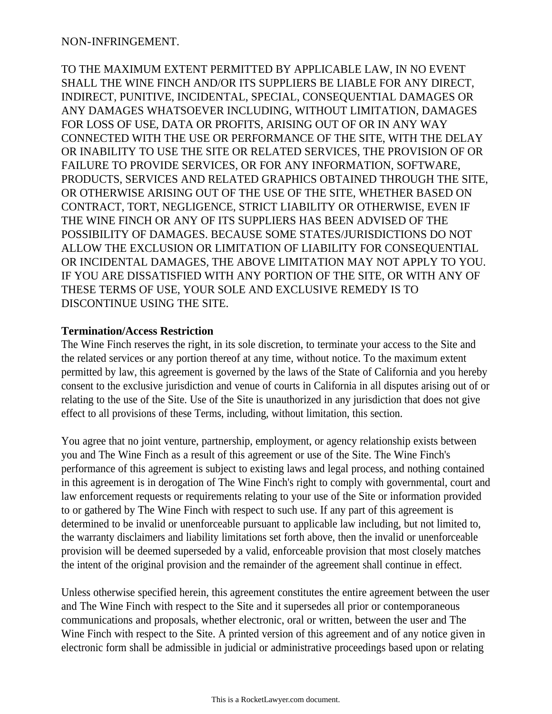TO THE MAXIMUM EXTENT PERMITTED BY APPLICABLE LAW, IN NO EVENT SHALL THE WINE FINCH AND/OR ITS SUPPLIERS BE LIABLE FOR ANY DIRECT, INDIRECT, PUNITIVE, INCIDENTAL, SPECIAL, CONSEQUENTIAL DAMAGES OR ANY DAMAGES WHATSOEVER INCLUDING, WITHOUT LIMITATION, DAMAGES FOR LOSS OF USE, DATA OR PROFITS, ARISING OUT OF OR IN ANY WAY CONNECTED WITH THE USE OR PERFORMANCE OF THE SITE, WITH THE DELAY OR INABILITY TO USE THE SITE OR RELATED SERVICES, THE PROVISION OF OR FAILURE TO PROVIDE SERVICES, OR FOR ANY INFORMATION, SOFTWARE, PRODUCTS, SERVICES AND RELATED GRAPHICS OBTAINED THROUGH THE SITE, OR OTHERWISE ARISING OUT OF THE USE OF THE SITE, WHETHER BASED ON CONTRACT, TORT, NEGLIGENCE, STRICT LIABILITY OR OTHERWISE, EVEN IF THE WINE FINCH OR ANY OF ITS SUPPLIERS HAS BEEN ADVISED OF THE POSSIBILITY OF DAMAGES. BECAUSE SOME STATES/JURISDICTIONS DO NOT ALLOW THE EXCLUSION OR LIMITATION OF LIABILITY FOR CONSEQUENTIAL OR INCIDENTAL DAMAGES, THE ABOVE LIMITATION MAY NOT APPLY TO YOU. IF YOU ARE DISSATISFIED WITH ANY PORTION OF THE SITE, OR WITH ANY OF THESE TERMS OF USE, YOUR SOLE AND EXCLUSIVE REMEDY IS TO DISCONTINUE USING THE SITE.

#### **Termination/Access Restriction**

The Wine Finch reserves the right, in its sole discretion, to terminate your access to the Site and the related services or any portion thereof at any time, without notice. To the maximum extent permitted by law, this agreement is governed by the laws of the State of California and you hereby consent to the exclusive jurisdiction and venue of courts in California in all disputes arising out of or relating to the use of the Site. Use of the Site is unauthorized in any jurisdiction that does not give effect to all provisions of these Terms, including, without limitation, this section.

You agree that no joint venture, partnership, employment, or agency relationship exists between you and The Wine Finch as a result of this agreement or use of the Site. The Wine Finch's performance of this agreement is subject to existing laws and legal process, and nothing contained in this agreement is in derogation of The Wine Finch's right to comply with governmental, court and law enforcement requests or requirements relating to your use of the Site or information provided to or gathered by The Wine Finch with respect to such use. If any part of this agreement is determined to be invalid or unenforceable pursuant to applicable law including, but not limited to, the warranty disclaimers and liability limitations set forth above, then the invalid or unenforceable provision will be deemed superseded by a valid, enforceable provision that most closely matches the intent of the original provision and the remainder of the agreement shall continue in effect.

Unless otherwise specified herein, this agreement constitutes the entire agreement between the user and The Wine Finch with respect to the Site and it supersedes all prior or contemporaneous communications and proposals, whether electronic, oral or written, between the user and The Wine Finch with respect to the Site. A printed version of this agreement and of any notice given in electronic form shall be admissible in judicial or administrative proceedings based upon or relating